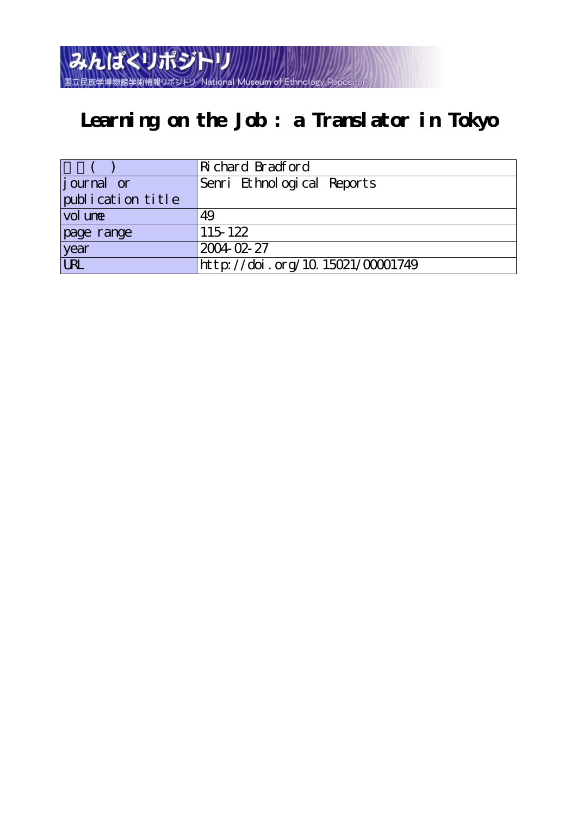みんぱくリポジトリ National Museum of

# **Learning on the Job : a Translator in Tokyo**

|                    | Richard Bradford                 |
|--------------------|----------------------------------|
| <i>j</i> ournal or | Senri Ethnological Reports       |
| publication title  |                                  |
| vol une            | 49                               |
| page range         | 115 122                          |
| year               | $2004 - 02 - 27$                 |
| URL                | http://doi.org/10.15021/00001749 |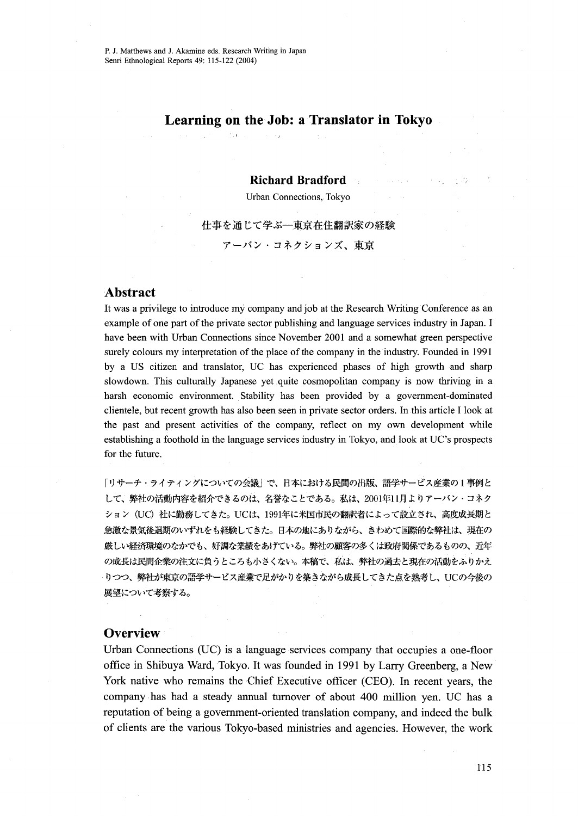$\sim$   $_{\rm H}$ 

## Learning on the Job: a Translator in Tokyo

#### Richard Bradford

Urban Connections, Tokyo

仕事を通じて学ぶ一東京在住翻訳家の経験 アーバン・コネクションズ、東京

## Abstract

It was a privilege to introduce my company and job at the Research Writing. Conference as an example of one part of the private sector publishing and language services industry in Japan. I have been with Urban Connections since November 2001 and a somewhat green perspective surely colours my interpretation of the place of the company in the industry. Founded in 1991 by a US citizen and translator, UC has experienced phases of high growth and sharp slowdown. This culturally Japanese yet quite cosmopolitan company is now thriving in a harsh economic environment. Stability has been provided by a government-dominated clientele, but recent growth has also been seen in private sector orders. In this article I look at the past and pτesent activities of the company, reflect on my own development while establishing a foothold in the language services industry in Tokyo, and look at UC's prospects for the future.

「リサーチ・ライティングについての会議」で、日本における民間の出版、語学サービス産業の1事例と して、弊社の活動内容を紹介できるのは、名誉なことである。私は、2001年11月よりアーバン・コネク ション(UC)社に勤務してきた。 UCは、1991年に米国市民の翻訳者によって設立され、高度成長期と 急激な景気後退期のいずれをも経験してきた。日本の地にありながら、きわめて国際的な弊社は、現在の 厳しい経済環境のなかでも、好調な業績をあげている。弊社の顧客の多くは政府関係であるものの、近年 の成長は民間企業の注文に負うところも小さくない。本稿で、私は、弊社の過去と現在の活動をふりかえ りつつ、弊社が東京の語学サービス産業で足がかりを築きながら成長してきた点を熟考し、UCの今後の 展望についで考察する。

#### **Overview.**

Urban Connections (UC) is a language services company that occupies a one-floor office in Shibuya Ward, Tokyo. It was founded in 1991 by Larry Greenberg, a New. York native who remains the Chief Executive officer (CEO). In recent years, the company・has had a steady annual tumover of about 400 million yen. UC has a reputation of being a government-oriented translation company, and indeed the bulk of clients are the various Tokyo-based ministries and agencies. However, the work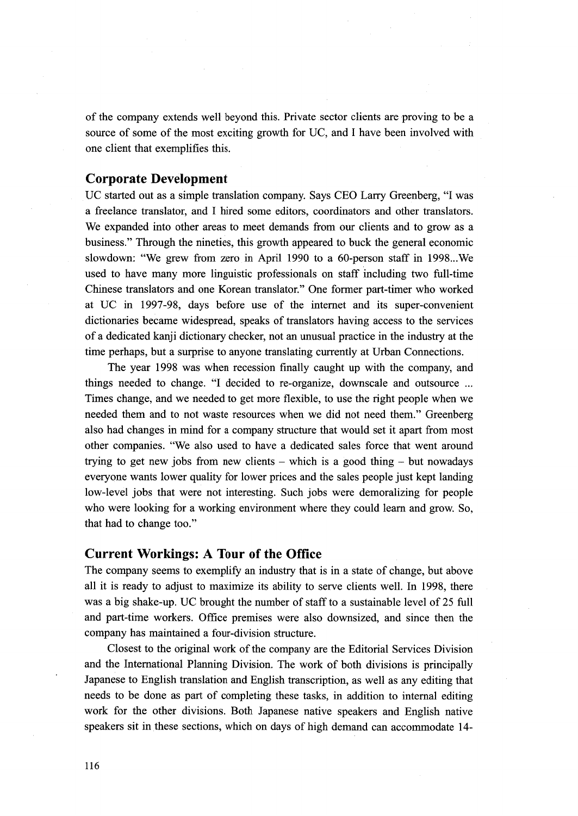of the company extends well beyond this. Private sector clients are proving to be a source of some of the most exciting growth for UC, and I have been involved with one client that exemplifies this.

### Corporate Development

UC started out as a simple translation company. Says CEO Larry Greenberg, "I was a freelance translator, and I hired some editors, coordinators and other translators. We expanded into other areas to meet demands from our clients and to grow as a business." Through the nineties, this growth appeared to buck the general economic slowdown: "We grew from zero in April 1990 to a 60-person staff in 1998...We used to have many more linguistic professionals on staff including two fu11-time Chinese translators and one Korean translator." One former part-timer who worked at UC in 1997-98, days before use of the internet and its super-convenient dictionaries became widespread, speaks of translators having access to the services of a dedicated kaaji dictionary checker, not an unusual practice in the industry at the time perhaps, but a surprise to anyone translating currently at Urban Connections.

The year 1998 was when recession finally caught up with the company, and things needed to change. "I decided to re-organize, downscale and outsource .., Times change, and we needed to get more flexible, to use the right people when we needed them and to not waste resources when we did not need them." Greenberg also had changes in mind for a company structure that would set it apart from most other companies. "We also used to have a dedicated sales force that went around trying to get new jobs from new clients  $-$  which is a good thing  $-$  but nowadays everyone wants lower quality for lower prices and the sales people just kept landing low-level jobs that were not interesting. Such jobs were demoralizing for people who were looking for a working environment where they could learn and grow. So, that had to change too."

## Current Workings: A Tour of the Office

The company seems to exemplify an industry that is in a state of change, but above all it is ready to adjust to maximize its ability to serve clients well. In 1998, there was a big shake-up. UC brought the number of staff to a sustainable level of 25 full and part-time workers. Office premises were also downsized, and since then the company has maintained a four-division structure.

 Closest to the original work of the company are the Editorial Services Division and the Intemational Planning Division, The work of both divisions is principally Japanese to English translation and English transcription, as well as any editing that needs to be done as part of completing these tasks, in addition to internal editing work fbr the other divisions. Both Japanese native speakers and English native speakers sit in these sections, which on days of high demand can accommodate 14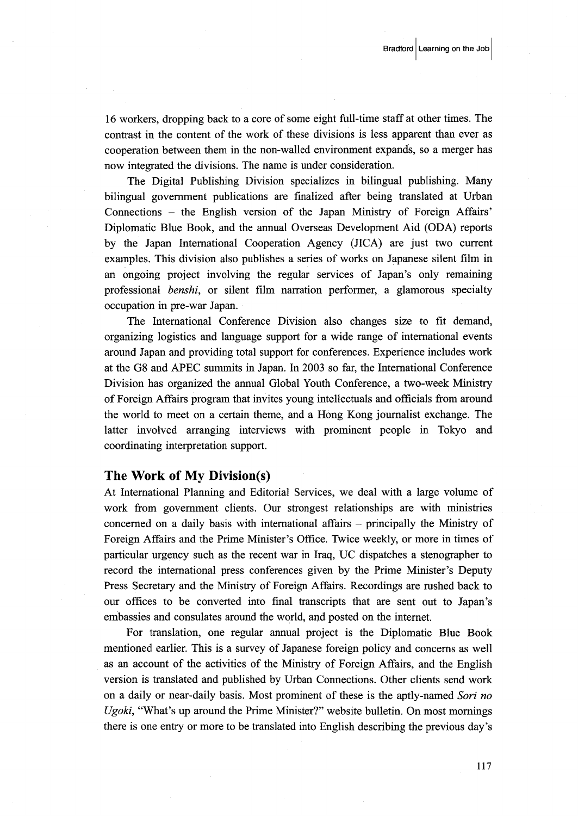16 workers, dropping back to a core of some eight fu11-time staff at other times. The contrast in the content of the work of these divisions is less apparent than ever as cooperation between them in the non-walled environment expands, so a merger has now integrated the divisions. The name is under consideration.

 The Digital Publishing Division specializes in bilingual publishing. Many bilingual govemment publications are finalized after being translated at Urban Connections - the English version of the Japan Ministry of Foreign Affairs' Diplomatic Blue Book, and the annual Overseas Development Aid (ODA) reports by the Japan International Cooperation Agency (JICA) are just two current examples. This division also publishes a series of works on Japanese silent film in an ongoing project involving the regular services of Japan's only remaining professional *benshi*, or silent film narration performer, a glamorous specialty occupation in pre-war Japan.

 The International Conference Division also changes size to fit demand, organizing logistics and language support for a wide range of international events around Japan and providing total support for conferences. Experience includes work at the G8 and APEC summits in Japan. In 2003 so far, the International Conference Division has organized the annual Global Ybuth Conference, a two-week Ministry of Foreign Affairs program that invites young intellectuals and officials from around the world to meet on a certain theme, and a Hong Kong journalist exchange. The latter involved arranging interviews with prominent people in Tokyo and coordinating interpretation support.

#### The Work of My Division(s)

At International Planning and Editorial Services, we deal with a large volume of work from government clients. Our strongest relationships are with ministries concerned on a daily basis with international affairs - principally the Ministry of Foreign Affairs and the Prime Minister's Office. Twice weekly, or more in times of panicular urgency such as the recen't war in Iraq, UC dispatches a stenographer to record the international press conferences given by the Prime Minister's Deputy Press Secretary and the Ministry of Foreign Affairs. Recordings are rushed back to our offices to be converted into final transcripts that are sent out to Japan's embassies and consulates around the world, and posted on the internet.

 For translation, one regular annual project is the Diplomatic Blue Book mentioned earlier. This is a survey of Japanese fbreign policy and concerns as well as an account of the activities of the Ministry of Foreign Affairs, and the English version is translated and published by Urban Connections. Other clients send work on a daily or near-daily basis. Most prominent of these is the aptly-named Sori no Ugoki, "What's up around the Prime Minister?" website bulletin. On most mornings there is one entry or more to be translated into English describing the previous day's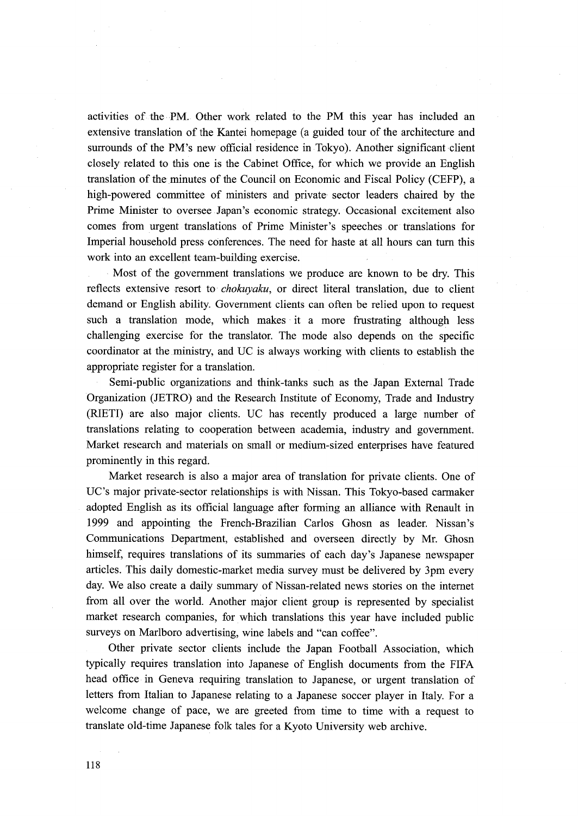activities of the PM. Other work related to the PM this year has included an extensive translation of the Kantei homepage (a guided tour of the architecture and surrounds of the PM's new official residence in Tokyo). Another significant client closely related to this one is the Cabinet Office, for which we provide an English translation of the minutes of the Council on Economic and Fiscal Policy (CEFP), a high-powered committee of ministers and private sector leaders chaired by the Prime Minister to oversee Japan's economic strategy. Occasional excitement also comes from urgent translations of Prime Minister's speeches or translations for Imperial household press-conferences. The need for haste at all hours can turn this work into an excellent team-building exercise.

, Most of the government translations we produce are known to be dry. This reflects extensive resort to *chokuvaku*, or direct literal translation, due to client demand or English ability. Government clients can often be relied upon to request such a translation mode, which makes it a more frustrating although less challenging exercise for the translator. The mode also depends on the specific coordinator at the.ministry, and UC is always working with clients to establish the appropriate register for a translation.

Semi-public organizations and think-tanks such as the Japan External Trade Organization (JETRO) and the Research Institute of Economy, Trade and Industry (RIETI) are also major clients. UC has recently produced a large number of translations relating to cooperation between academia, industry and government. Market research and materials on small or medium-sized enterprises have featured prominently in this regard.

 Market research is also a major area of translation for private clients. One of UC's major private-sector relationships is with Nissan. This Tokyo-based carmaker adopted English as its official language after forming an alliance with Renault in 1999 and appointing the French-Brazilian Carlos Ghosn as leader. Nissan's Communications Department, established and overseen directly by Mr. Ghosn himself, requires translations of its summaries of each day's Japanese newspaper articles. This daily domestic-market media survey must be delivered by 3pm every day. We also create a daily summary of Nissan-related news stories on the internet from all over the world. Another major client group is represented by specialist market research companies, for which translations this year have included public surveys on Marlboro advertising, wine labels and "can coffee".

. Other private sector clients include the Japan Football Association, which typically requires translation into Japanese of English documents from the FIFA head office in Geneva requiring translation to Japanese, or urgent translation of letters from Italian to Japanese relating to a Japanese soccer player in Italy. For a welcome change of pace, we are greeted from time to time with a request to translate old-time Japanese folk tales for a Kyoto University web archive.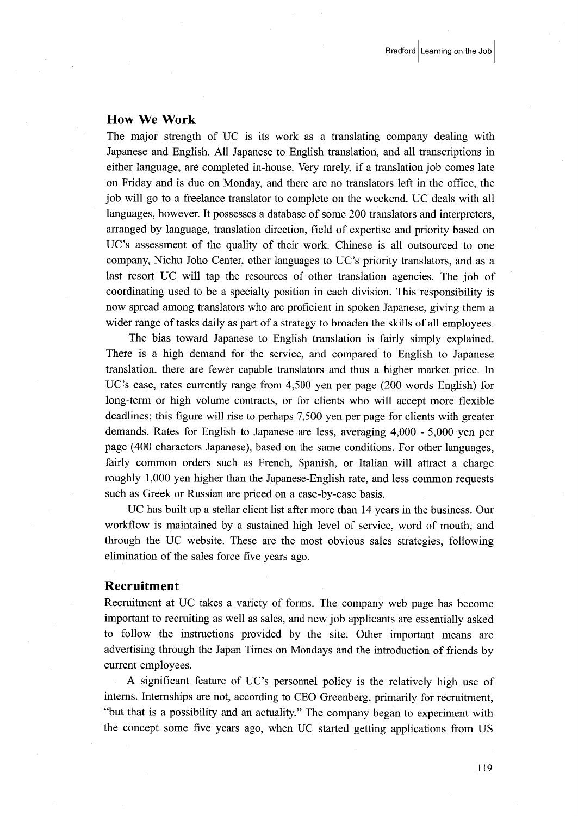### How We Work

The major strength of UC is its work as a translating company dealing with Japanese and English. All Japanese to English translation, and all transcriptions in either language, are completed in-house. Very rarely, if a translation job comes late on Friday and is due on Monday, and there are no translators left in the office, the job will go to a freelance translator to complete on the weekend. UC deals with all languages, however. It possesses a database of some 200 translators and interpreters, arranged by language, translation direction, field of expertise and priority based on UC's assessment of the quality of their wotk. Chinese is all outsourced to one company, Nichu Joho Center, other languages to UC's priority translators, and as a last resort UC will tap the resources of other translation agencies. The job of coordinating used to be a specialty position in each division. This responsibility is now spread among translators who are proficient in spoken Japanese, giving them a wider range of tasks daily as part of a strategy to broaden the skills of all employees.

 The bias toward Japanese to English translation is fairly simply explained. There is a high demand for the service, and compared to English to Japanese translation, there are fewer capable translators and thus a higher market price. In UC's case, rates currently range from 4,500 yen per page (200 words English) for long-term or high volume contracts, or for clients who will accept more flexibie deadlines; this figure will rise to perhaps 7,500 yen per page for clients with greater demands. Rates fbr English to Japanese are less, averaging 4,OOO - 5,OOO yen per page (400 characters Japanese), based on the same conditions. For other languages, fairly common orders such as French, Spanish, or Italian will attract a charge roughly 1,OOO yen higher than the Japanese-English rate, and less common requests such as Greek or Russian are priced on a case-by-case basis.

 UC has built up a stellar client list after more than 14 years in the business. Our workflow is maintained by a sustained high Ievel of service, word of mouth, and through the UC website. These are the most obvious sales strategies, fbllowing elimination of the sales force five years ago.

#### Recruitment

Recruitment at UC takes a variety of forms. The company web page has become important to recruiting as well as sales, and newjob applicants are essentially asked to fbllow the instructions provided by the site. Other important means are advertising through the Japan Times on Mondays and the introduction of friends by current employees.

 A significant feature of UC's personnel policy is the relatively high use of interns. Internships are not, according to CEO Greenberg, primarily for recruitment, "but that is a possibility and an actuality." The company began to experiment with the concept some five years ago, when UC started getting applications from US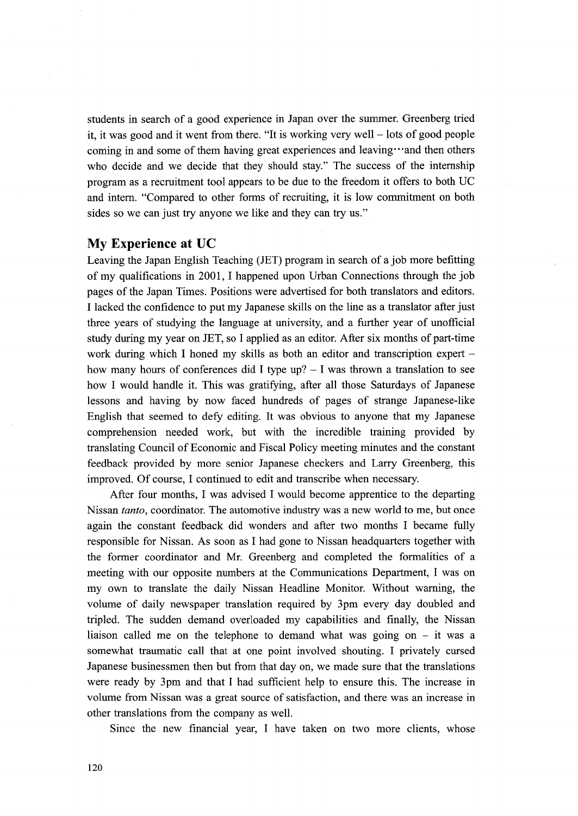students in search of a good experience in Japan over the summer. Greenberg tried it, it was good and it went from there. "It is working very well – lots of good people coming in and some of them having great experiences and leaving "and then others who decide and we decide that they should stay." The success of the internship program as a recruitment tool appears to be due to the freedom it offers to both UC and intern. "Compared to other forms of recruiting, it is low commitment on both sides so we can just try anyone we like and they can try us."

#### My Experience at UC

Leaving the Japan English Teaching (JET) program in search of a job more befitting of my qualifications in 2001, I happened upon Urban Connections through the job pages of the Japan Times. Positions were advertised for both translators and editors. I lacked the confidgnce to put my Japanese skills on the line as a translator after just three years of studying the language at university, and a further year of unofficial study during my year on JET, so I applied as an editor. After six months of part-time work during which I honed my skills as both an editor and transcription expert how many hours of conferences did I type  $up$ ? - I was thrown a translation to see how I would handle it. This was gratifying, after all those Saturdays of Japanese lessons and having by now faced hundreds of pages of strange Japanese-like English that seemed to defy editing. It was obvious to anyone that my Japanese comprehension needed work, but with the incredible training provided by translating Council of Economic and Fiscal Policy meeting minutes and the constant feedback provided by more senior Japanese checkers and Larry Greenberg, this improved. Of course, I continued to edit and transcribe when necessary.

 After fbur months, I was advised I would become apprentice to the departing Nissan tanto, coordinator. The automotive industry was a new world to me, but once again the constant feedback did wonders and after two months I became fully responsible for Nissan. As soon as I had gone to Nissan headquarters together with the former coordinator and Mr. Greenberg and completed the formalities of a meeting with our opposite numbers at the Communications Department, I was on my own to translate the daily Nissan Headline Monitor. Without warning, the volume of daily newspaper translation required by 3pm every day doubled and tripled. The sudden demand overloaded my capabilities and finally, the Nissan liaison called me on the telephone to demand what was going on - it was a somewhat traumatic call that at one point involved shouting. I privately cursed Japanese businessmen then but from that day on, we made sure that the translations were ready by 3pm and that I had sufficient help to ensure this. The increase in volume from Nissan was a great source of satisfaction, and there was an increase in other translations from the company as well.

Since the new financial year, I have taken on two more clients, whose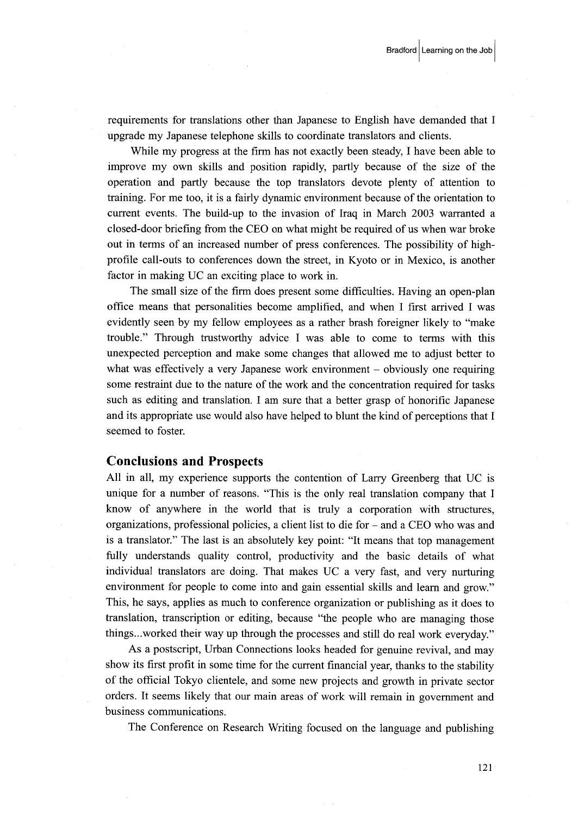requirements for translations other than Japanese to English have demanded that I upgrade my Japanese telephone skills to coordinate translators and clients.

 While my progress at the firm has not exactly been steady, I have been able to improve my own skills and position rapidly, partly because of the size of the operation and partly because the top translators devote plenty of attention to training. For me too, it is a fairly dynamic environment because of the orientation to current events. The build-up to the invasion of Iraq in March 2003 warranted a closed-door briefing from the CEO on what might be required of us when war broke out in terms of an increased number of press conferences. The possibility of highprofile call-outs to conferences down the street, in Kyoto or in Mexico, is another factor in making UC an exciting place to work in.

 The small size of the firm does present some difficulties. Having an open-plan office means that personalities become amplified, and when I first arrived I was evidently seen by my fe11ow employees as a rather brash foreigner likely to "make trouble." Through trustworthy advice I was able to come to terms with this unexpected perception and make some changes that allowed me to adjust better to what was effectively a very Japanese work environment  $-$  obviously one requiring some restraint due to the nature of the work and the concentration required for tasks such as editing and translation. I am sure that a better grasp of honorific Japanese and its appropriate use would also have helped to blunt the kind of perceptions that I seemed to foster.

#### Conclusions and Prospects

All in all, my experience supports the contention of Larry Greenberg that UC is unique for a number of reasons. "This is the only real translation company that I know of anywhere in the world that is truly a corporation with stmctures, organizations, professional policies, a client list to die for - and a CEO who was and is a translator." The last is an absolutely key point: "It means that top management fully understands quality control, productivity and the basic details of what individual translators are doing. That makes UC a very fast, and very nurturing environment for people to come into and gain essential skills and learn and grow." This, he says, applies as much to conference organization or publishing as it does to translation, transcription or editing, because "the people who are managing those things..,wotked their way up through the processes and still do real work everyday."

 As a postscript, Urban Connections looks headed for genuine revival, and may show its first profit in some time for the current financial year, thanks to the stability of the official Tbkyo clientele, and some new projects and growth in private sector orders. It seems likely that our main areas of work will remain in government and business communications.

The Conference on Research Writing focused on the language and publishing